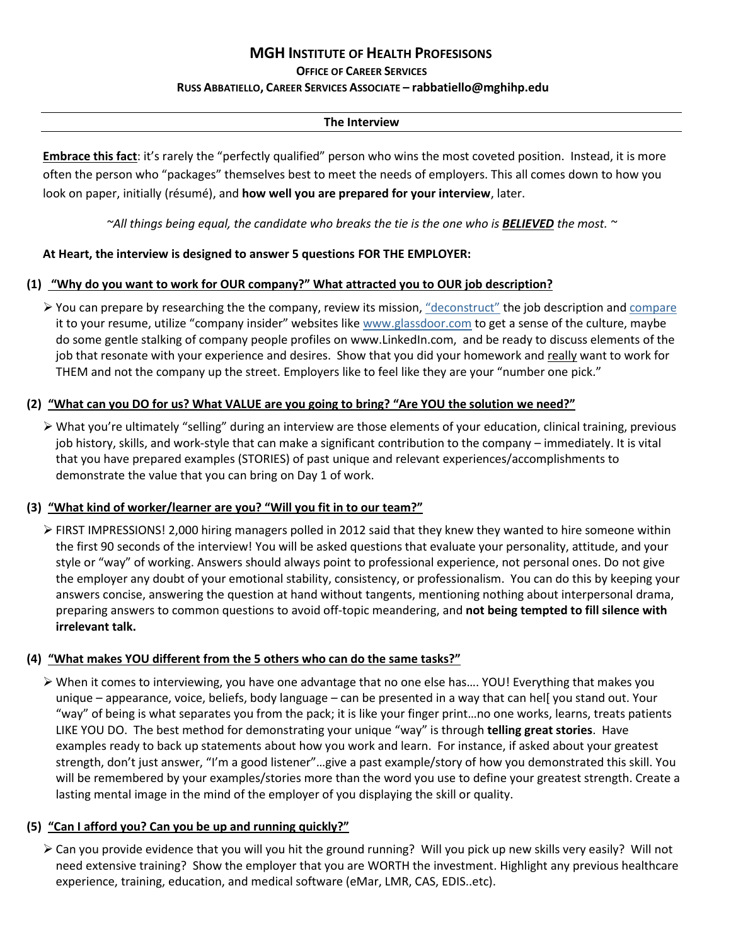# **MGH INSTITUTE OF HEALTH PROFESISONS**

**OFFICE OF CAREER SERVICES**

#### **RUSS ABBATIELLO, CAREER SERVICES ASSOCIATE – rabbatiello@mghihp.edu**

# **The Interview**

**Embrace this fact**: it's rarely the "perfectly qualified" person who wins the most coveted position. Instead, it is more often the person who "packages" themselves best to meet the needs of employers. This all comes down to how you look on paper, initially (résumé), and **how well you are prepared for your interview**, later.

*~All things being equal, the candidate who breaks the tie is the one who is BELIEVED the most. ~*

# **At Heart, the interview is designed to answer 5 questions FOR THE EMPLOYER:**

# **(1) "Why do you want to work for OUR company?" What attracted you to OUR job description?**

 $\triangleright$  You can prepare by researching the the company, review its mission, ["deconstruct"](http://thingscareerrelated.com/tag/target-job-deconstruction/) the job description an[d compare](https://www.jobscan.co/) it to your resume, utilize "company insider" websites like [www.glassdoor.com](http://www.glassdoor.com/) to get a sense of the culture, maybe do some gentle stalking of company people profiles on www.LinkedIn.com, and be ready to discuss elements of the job that resonate with your experience and desires. Show that you did your homework and really want to work for THEM and not the company up the street. Employers like to feel like they are your "number one pick."

# **(2) "What can you DO for us? What VALUE are you going to bring? "Are YOU the solution we need?"**

 What you're ultimately "selling" during an interview are those elements of your education, clinical training, previous job history, skills, and work-style that can make a significant contribution to the company – immediately. It is vital that you have prepared examples (STORIES) of past unique and relevant experiences/accomplishments to demonstrate the value that you can bring on Day 1 of work.

# **(3) "What kind of worker/learner are you? "Will you fit in to our team?"**

 FIRST IMPRESSIONS! 2,000 hiring managers polled in 2012 said that they knew they wanted to hire someone within the first 90 seconds of the interview! You will be asked questions that evaluate your personality, attitude, and your style or "way" of working. Answers should always point to professional experience, not personal ones. Do not give the employer any doubt of your emotional stability, consistency, or professionalism. You can do this by keeping your answers concise, answering the question at hand without tangents, mentioning nothing about interpersonal drama, preparing answers to common questions to avoid off-topic meandering, and **not being tempted to fill silence with irrelevant talk.** 

# **(4) "What makes YOU different from the 5 others who can do the same tasks?"**

 When it comes to interviewing, you have one advantage that no one else has…. YOU! Everything that makes you unique – appearance, voice, beliefs, body language – can be presented in a way that can hel[ you stand out. Your "way" of being is what separates you from the pack; it is like your finger print…no one works, learns, treats patients LIKE YOU DO. The best method for demonstrating your unique "way" is through **telling great stories**. Have examples ready to back up statements about how you work and learn. For instance, if asked about your greatest strength, don't just answer, "I'm a good listener"…give a past example/story of how you demonstrated this skill. You will be remembered by your examples/stories more than the word you use to define your greatest strength. Create a lasting mental image in the mind of the employer of you displaying the skill or quality.

# **(5) "Can I afford you? Can you be up and running quickly?"**

 Can you provide evidence that you will you hit the ground running? Will you pick up new skills very easily? Will not need extensive training? Show the employer that you are WORTH the investment. Highlight any previous healthcare experience, training, education, and medical software (eMar, LMR, CAS, EDIS..etc).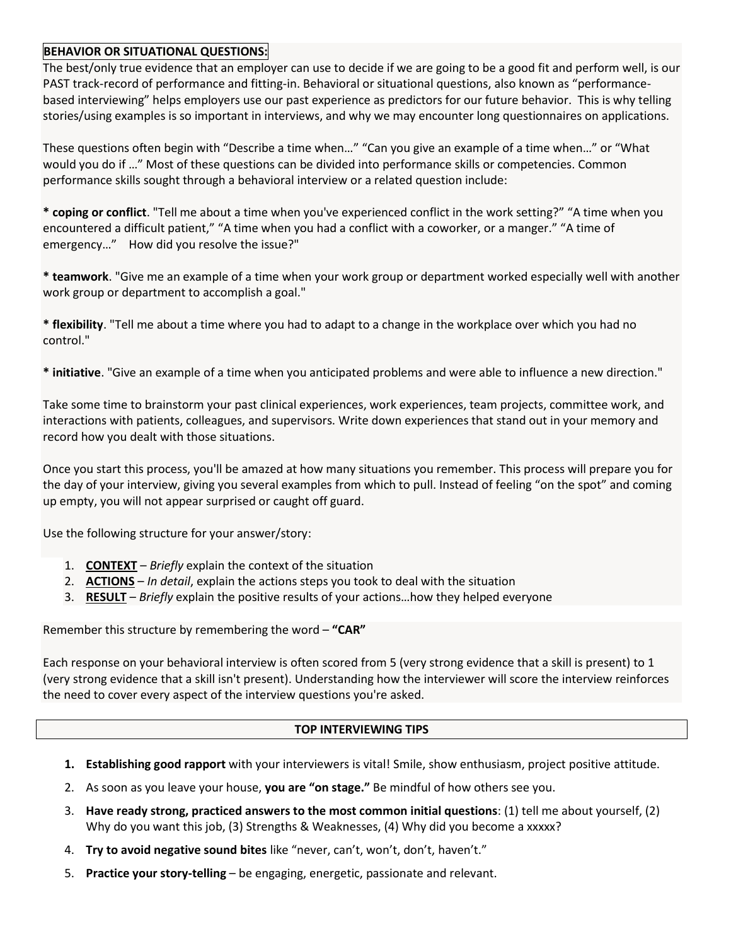# **BEHAVIOR OR SITUATIONAL QUESTIONS:**

The best/only true evidence that an employer can use to decide if we are going to be a good fit and perform well, is our PAST track-record of performance and fitting-in. Behavioral or situational questions, also known as "performancebased interviewing" helps employers use our past experience as predictors for our future behavior. This is why telling stories/using examples is so important in interviews, and why we may encounter long questionnaires on applications.

These questions often begin with "Describe a time when…" "Can you give an example of a time when…" or "What would you do if …" Most of these questions can be divided into performance skills or competencies. Common performance skills sought through a behavioral interview or a related question include:

**\* coping or conflict**. "Tell me about a time when you've experienced conflict in the work setting?" "A time when you encountered a difficult patient," "A time when you had a conflict with a coworker, or a manger." "A time of emergency…" How did you resolve the issue?"

**\* teamwork**. "Give me an example of a time when your work group or department worked especially well with another work group or department to accomplish a goal."

**\* flexibility**. "Tell me about a time where you had to adapt to a change in the workplace over which you had no control."

**\* initiative**. "Give an example of a time when you anticipated problems and were able to influence a new direction."

Take some time to brainstorm your past clinical experiences, work experiences, team projects, committee work, and interactions with patients, colleagues, and supervisors. Write down experiences that stand out in your memory and record how you dealt with those situations.

Once you start this process, you'll be amazed at how many situations you remember. This process will prepare you for the day of your interview, giving you several examples from which to pull. Instead of feeling "on the spot" and coming up empty, you will not appear surprised or caught off guard.

Use the following structure for your answer/story:

- 1. **CONTEXT** *Briefly* explain the context of the situation
- 2. **ACTIONS** *In detail*, explain the actions steps you took to deal with the situation
- 3. **RESULT** *Briefly* explain the positive results of your actions…how they helped everyone

Remember this structure by remembering the word – **"CAR"**

Each response on your behavioral interview is often scored from 5 (very strong evidence that a skill is present) to 1 (very strong evidence that a skill isn't present). Understanding how the interviewer will score the interview reinforces the need to cover every aspect of the interview questions you're asked.

# **TOP INTERVIEWING TIPS**

- **1. Establishing good rapport** with your interviewers is vital! Smile, show enthusiasm, project positive attitude.
- 2. As soon as you leave your house, **you are "on stage."** Be mindful of how others see you.
- 3. **Have ready strong, practiced answers to the most common initial questions**: (1) tell me about yourself, (2) Why do you want this job, (3) Strengths & Weaknesses, (4) Why did you become a xxxxx?
- 4. **Try to avoid negative sound bites** like "never, can't, won't, don't, haven't."
- 5. **Practice your story-telling** be engaging, energetic, passionate and relevant.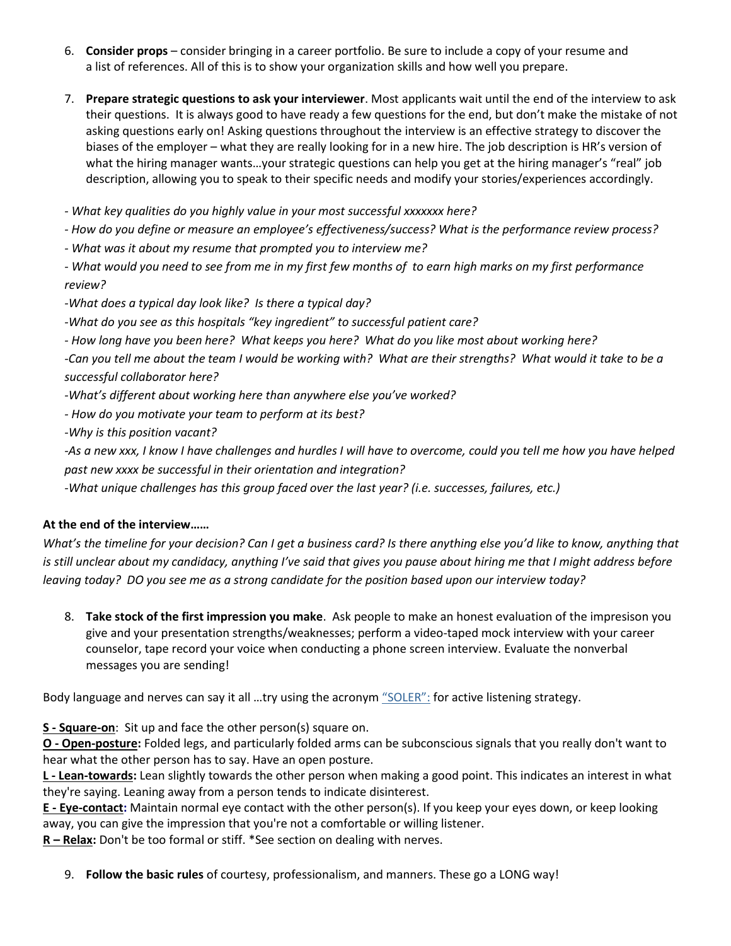- 6. **Consider props** consider bringing in a career portfolio. Be sure to include a copy of your resume and a list of references. All of this is to show your organization skills and how well you prepare.
- 7. **Prepare strategic questions to ask your interviewer**. Most applicants wait until the end of the interview to ask their questions. It is always good to have ready a few questions for the end, but don't make the mistake of not asking questions early on! Asking questions throughout the interview is an effective strategy to discover the biases of the employer – what they are really looking for in a new hire. The job description is HR's version of what the hiring manager wants...your strategic questions can help you get at the hiring manager's "real" job description, allowing you to speak to their specific needs and modify your stories/experiences accordingly.
- *- What key qualities do you highly value in your most successful xxxxxxx here?*
- *- How do you define or measure an employee's effectiveness/success? What is the performance review process?*
- *- What was it about my resume that prompted you to interview me?*
- *- What would you need to see from me in my first few months of to earn high marks on my first performance review?*
- *-What does a typical day look like? Is there a typical day?*
- *-What do you see as this hospitals "key ingredient" to successful patient care?*
- *- How long have you been here? What keeps you here? What do you like most about working here?*

*-Can you tell me about the team I would be working with? What are their strengths? What would it take to be a successful collaborator here?*

- *-What's different about working here than anywhere else you've worked?*
- *- How do you motivate your team to perform at its best?*

*-Why is this position vacant?*

*-As a new xxx, I know I have challenges and hurdles I will have to overcome, could you tell me how you have helped past new xxxx be successful in their orientation and integration?*

*-What unique challenges has this group faced over the last year? (i.e. successes, failures, etc.)*

# **At the end of the interview……**

*What's the timeline for your decision? Can I get a business card? Is there anything else you'd like to know, anything that is still unclear about my candidacy, anything I've said that gives you pause about hiring me that I might address before leaving today? DO you see me as a strong candidate for the position based upon our interview today?*

8. **Take stock of the first impression you make**. Ask people to make an honest evaluation of the impresison you give and your presentation strengths/weaknesses; perform a video-taped mock interview with your career counselor, tape record your voice when conducting a phone screen interview. Evaluate the nonverbal messages you are sending!

Body language and nerves can say it all ...try using the acronym ["SOLER":](https://healthpsychologyconsultancy.wordpress.com/2011/08/25/active-listening-through-body-language/) for active listening strategy.

**S - Square-on**: Sit up and face the other person(s) square on.

**O - Open-posture:** Folded legs, and particularly folded arms can be subconscious signals that you really don't want to hear what the other person has to say. Have an open posture.

**L - Lean-towards:** Lean slightly towards the other person when making a good point. This indicates an interest in what they're saying. Leaning away from a person tends to indicate disinterest.

**E - Eye-contact:** Maintain normal eye contact with the other person(s). If you keep your eyes down, or keep looking away, you can give the impression that you're not a comfortable or willing listener.

**R – Relax:** Don't be too formal or stiff. \*See section on dealing with nerves.

9. **Follow the basic rules** of courtesy, professionalism, and manners. These go a LONG way!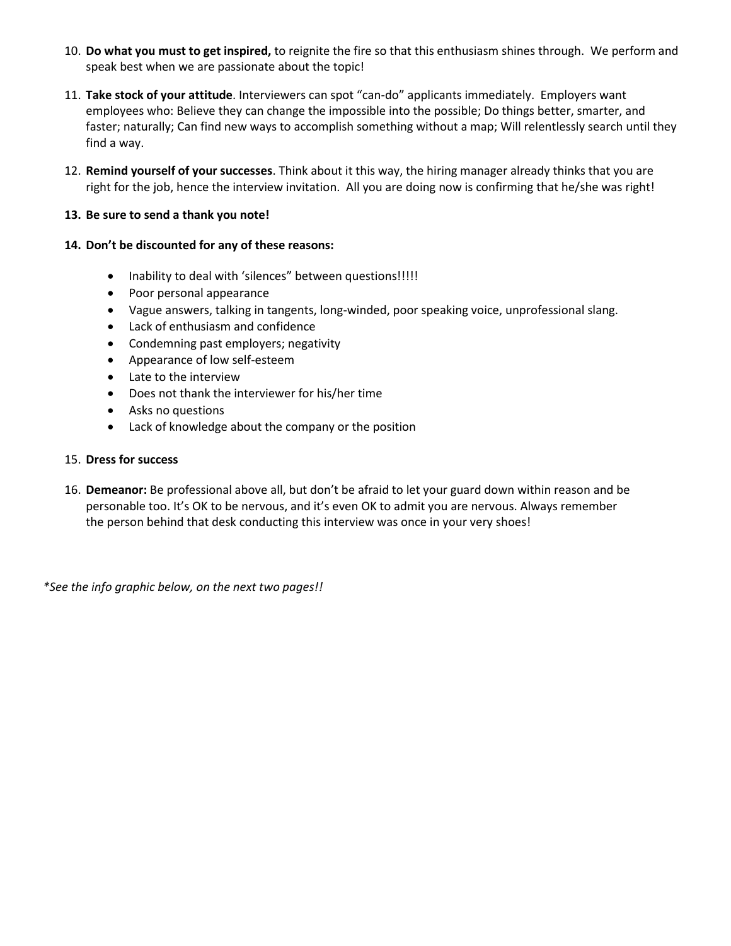- 10. **Do what you must to get inspired,** to reignite the fire so that this enthusiasm shines through. We perform and speak best when we are passionate about the topic!
- 11. **Take stock of your attitude**. Interviewers can spot "can-do" applicants immediately. Employers want employees who: Believe they can change the impossible into the possible; Do things better, smarter, and faster; naturally; Can find new ways to accomplish something without a map; Will relentlessly search until they find a way.
- 12. **Remind yourself of your successes**. Think about it this way, the hiring manager already thinks that you are right for the job, hence the interview invitation. All you are doing now is confirming that he/she was right!

# **13. Be sure to send a thank you note!**

# **14. Don't be discounted for any of these reasons:**

- Inability to deal with 'silences" between questions!!!!!
- Poor personal appearance
- Vague answers, talking in tangents, long-winded, poor speaking voice, unprofessional slang.
- Lack of enthusiasm and confidence
- Condemning past employers; negativity
- Appearance of low self-esteem
- Late to the interview
- Does not thank the interviewer for his/her time
- Asks no questions
- Lack of knowledge about the company or the position

#### 15. **Dress for success**

16. **Demeanor:** Be professional above all, but don't be afraid to let your guard down within reason and be personable too. It's OK to be nervous, and it's even OK to admit you are nervous. Always remember the person behind that desk conducting this interview was once in your very shoes!

*\*See the info graphic below, on the next two pages!!*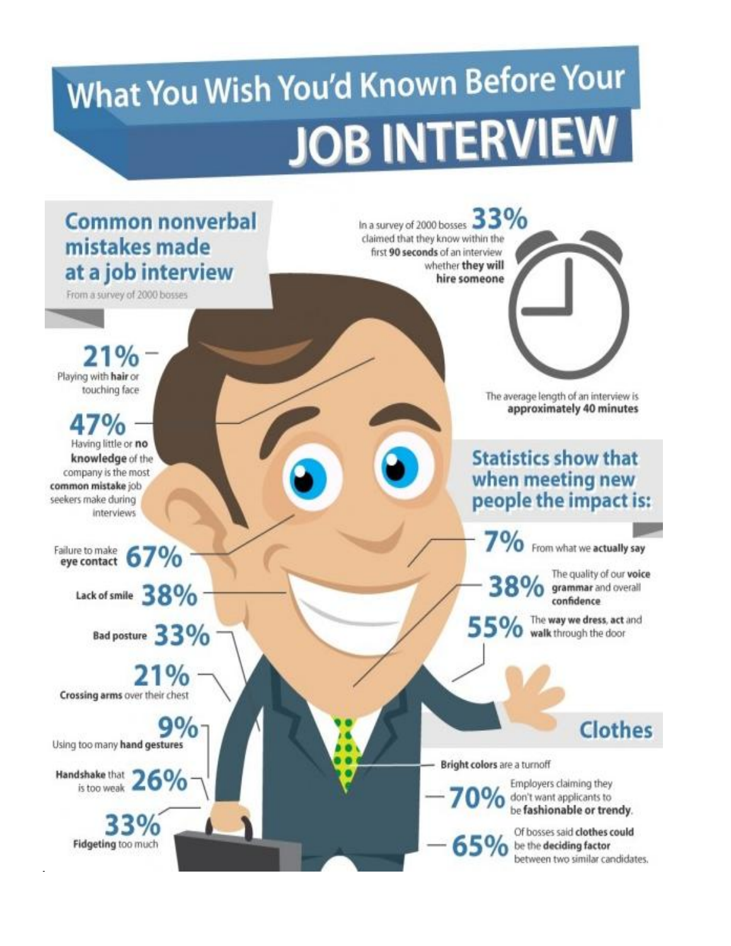# What You Wish You'd Known Before Your **JOB INTERVIEW**

# **Common nonverbal** mistakes made at a job interview

From a survey of 2000 bosses

 $\%$ Playing with hair or touching face

 $\frac{10}{6}$ Having little or no knowledge of the company is the most common mistake job seekers make during interviews

Failure to make ailure to make 67%

Lack of smile  $38\%$ 

Bad posture 33%

21% Crossing arms over their chest

 $9\%$ Using too many hand gestures

Handshake that 26%

33% Fidgeting too much In a survey of 2000 bosses 33% claimed that they know within the first 90 seconds of an interview whether they will hire someone

> The average length of an interview is approximately 40 minutes

# **Statistics show that** when meeting new people the impact is:

7% From what we actually say

The quality of our voice 38% grammar and overall confidence

**Clothes** 

55% The way we dress, act and

Bright colors are a turnoff

Employers claiming they  $0%$ don't want applicants to<br>be fashionable or trendy.

Of bosses said clothes could  $\mathbf{65\%}$  be the deciding factor<br>between two similar candidates.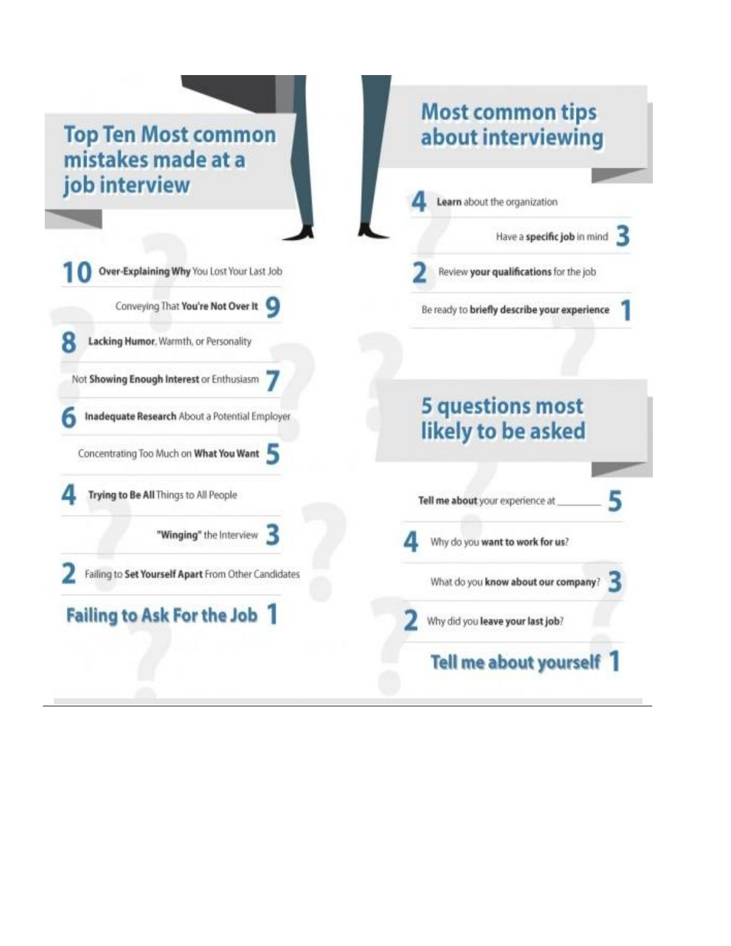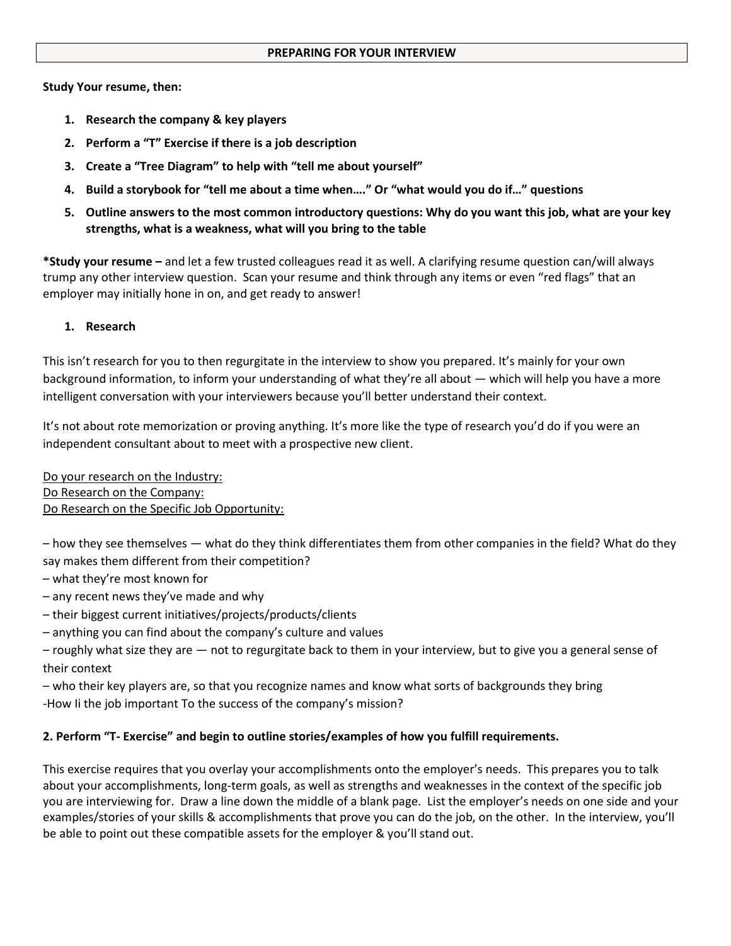#### **PREPARING FOR YOUR INTERVIEW**

#### **Study Your resume, then:**

- **1. Research the company & key players**
- **2. Perform a "T" Exercise if there is a job description**
- **3. Create a "Tree Diagram" to help with "tell me about yourself"**
- **4. Build a storybook for "tell me about a time when…." Or "what would you do if…" questions**
- **5. Outline answers to the most common introductory questions: Why do you want this job, what are your key strengths, what is a weakness, what will you bring to the table**

**\*Study your resume –** and let a few trusted colleagues read it as well. A clarifying resume question can/will always trump any other interview question. Scan your resume and think through any items or even "red flags" that an employer may initially hone in on, and get ready to answer!

# **1. Research**

This isn't research for you to then regurgitate in the interview to show you prepared. It's mainly for your own background information, to inform your understanding of what they're all about — which will help you have a more intelligent conversation with your interviewers because you'll better understand their context.

It's not about rote memorization or proving anything. It's more like the type of research you'd do if you were an independent consultant about to meet with a prospective new client.

Do your research on the Industry: Do Research on the Company: Do Research on the Specific Job Opportunity:

– how they see themselves — what do they think differentiates them from other companies in the field? What do they say makes them different from their competition?

- what they're most known for
- any recent news they've made and why
- their biggest current initiatives/projects/products/clients
- anything you can find about the company's culture and values

– roughly what size they are — not to regurgitate back to them in your interview, but to give you a general sense of their context

– who their key players are, so that you recognize names and know what sorts of backgrounds they bring -How Ii the job important To the success of the company's mission?

# **2. Perform "T- Exercise" and begin to outline stories/examples of how you fulfill requirements.**

This exercise requires that you overlay your accomplishments onto the employer's needs. This prepares you to talk about your accomplishments, long-term goals, as well as strengths and weaknesses in the context of the specific job you are interviewing for. Draw a line down the middle of a blank page. List the employer's needs on one side and your examples/stories of your skills & accomplishments that prove you can do the job, on the other. In the interview, you'll be able to point out these compatible assets for the employer & you'll stand out.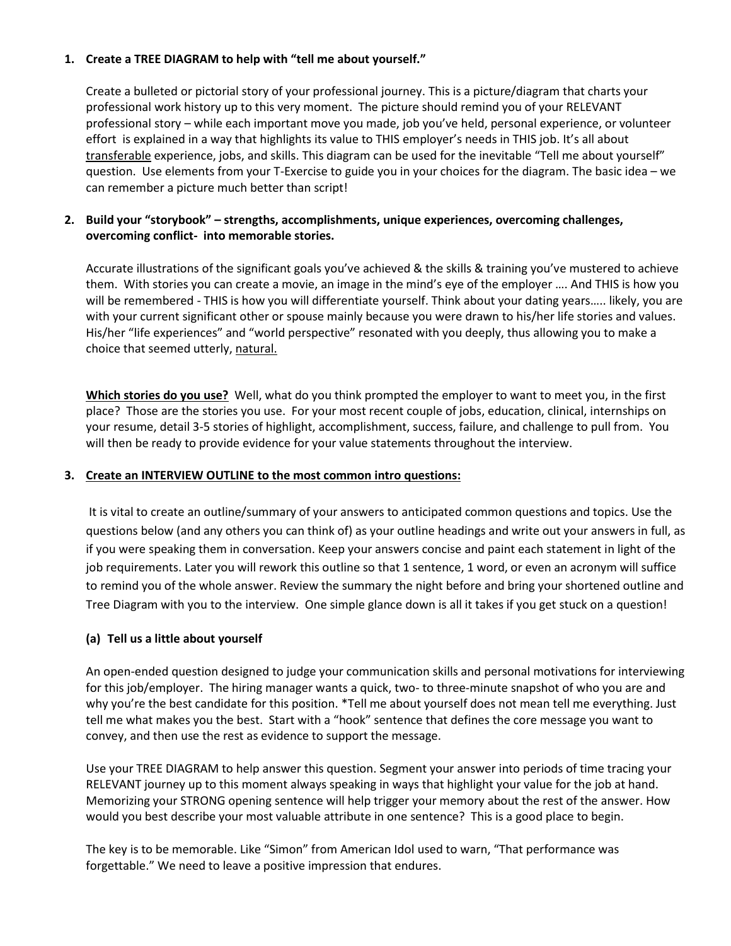# **1. Create a TREE DIAGRAM to help with "tell me about yourself."**

Create a bulleted or pictorial story of your professional journey. This is a picture/diagram that charts your professional work history up to this very moment. The picture should remind you of your RELEVANT professional story – while each important move you made, job you've held, personal experience, or volunteer effort is explained in a way that highlights its value to THIS employer's needs in THIS job. It's all about transferable experience, jobs, and skills. This diagram can be used for the inevitable "Tell me about yourself" question. Use elements from your T-Exercise to guide you in your choices for the diagram. The basic idea – we can remember a picture much better than script!

# **2. Build your "storybook" – strengths, accomplishments, unique experiences, overcoming challenges, overcoming conflict- into memorable stories.**

Accurate illustrations of the significant goals you've achieved & the skills & training you've mustered to achieve them. With stories you can create a movie, an image in the mind's eye of the employer …. And THIS is how you will be remembered - THIS is how you will differentiate yourself. Think about your dating years….. likely, you are with your current significant other or spouse mainly because you were drawn to his/her life stories and values. His/her "life experiences" and "world perspective" resonated with you deeply, thus allowing you to make a choice that seemed utterly, natural.

**Which stories do you use?** Well, what do you think prompted the employer to want to meet you, in the first place? Those are the stories you use. For your most recent couple of jobs, education, clinical, internships on your resume, detail 3-5 stories of highlight, accomplishment, success, failure, and challenge to pull from. You will then be ready to provide evidence for your value statements throughout the interview.

# **3. Create an INTERVIEW OUTLINE to the most common intro questions:**

It is vital to create an outline/summary of your answers to anticipated common questions and topics. Use the questions below (and any others you can think of) as your outline headings and write out your answers in full, as if you were speaking them in conversation. Keep your answers concise and paint each statement in light of the job requirements. Later you will rework this outline so that 1 sentence, 1 word, or even an acronym will suffice to remind you of the whole answer. Review the summary the night before and bring your shortened outline and Tree Diagram with you to the interview. One simple glance down is all it takes if you get stuck on a question!

# **(a) Tell us a little about yourself**

An open-ended question designed to judge your communication skills and personal motivations for interviewing for this job/employer. The hiring manager wants a quick, two- to three-minute snapshot of who you are and why you're the best candidate for this position. \*Tell me about yourself does not mean tell me everything. Just tell me what makes you the best. Start with a "hook" sentence that defines the core message you want to convey, and then use the rest as evidence to support the message.

Use your TREE DIAGRAM to help answer this question. Segment your answer into periods of time tracing your RELEVANT journey up to this moment always speaking in ways that highlight your value for the job at hand. Memorizing your STRONG opening sentence will help trigger your memory about the rest of the answer. How would you best describe your most valuable attribute in one sentence? This is a good place to begin.

The key is to be memorable. Like "Simon" from American Idol used to warn, "That performance was forgettable." We need to leave a positive impression that endures.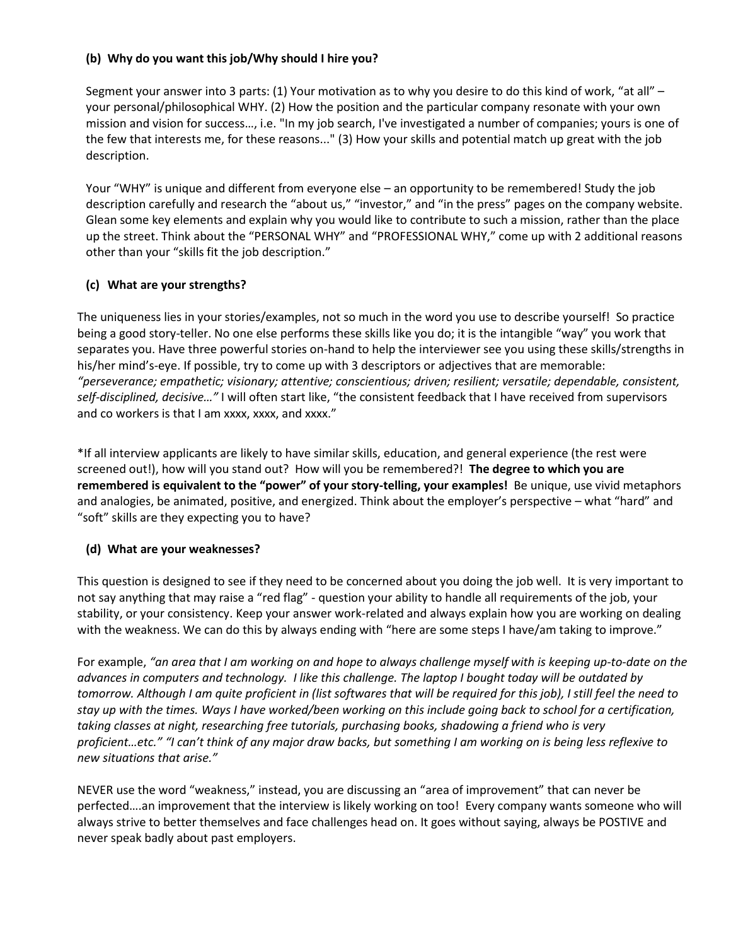# **(b) Why do you want this job/Why should I hire you?**

Segment your answer into 3 parts: (1) Your motivation as to why you desire to do this kind of work, "at all" – your personal/philosophical WHY. (2) How the position and the particular company resonate with your own mission and vision for success…, i.e. "In my job search, I've investigated a number of companies; yours is one of the few that interests me, for these reasons..." (3) How your skills and potential match up great with the job description.

Your "WHY" is unique and different from everyone else – an opportunity to be remembered! Study the job description carefully and research the "about us," "investor," and "in the press" pages on the company website. Glean some key elements and explain why you would like to contribute to such a mission, rather than the place up the street. Think about the "PERSONAL WHY" and "PROFESSIONAL WHY," come up with 2 additional reasons other than your "skills fit the job description."

# **(c) What are your strengths?**

The uniqueness lies in your stories/examples, not so much in the word you use to describe yourself! So practice being a good story-teller. No one else performs these skills like you do; it is the intangible "way" you work that separates you. Have three powerful stories on-hand to help the interviewer see you using these skills/strengths in his/her mind's-eye. If possible, try to come up with 3 descriptors or adjectives that are memorable: *"perseverance; empathetic; visionary; attentive; conscientious; driven; resilient; versatile; dependable, consistent, self-disciplined, decisive…"* I will often start like, "the consistent feedback that I have received from supervisors and co workers is that I am xxxx, xxxx, and xxxx."

\*If all interview applicants are likely to have similar skills, education, and general experience (the rest were screened out!), how will you stand out? How will you be remembered?! **The degree to which you are remembered is equivalent to the "power" of your story-telling, your examples!** Be unique, use vivid metaphors and analogies, be animated, positive, and energized. Think about the employer's perspective – what "hard" and "soft" skills are they expecting you to have?

# **(d) What are your weaknesses?**

This question is designed to see if they need to be concerned about you doing the job well. It is very important to not say anything that may raise a "red flag" - question your ability to handle all requirements of the job, your stability, or your consistency. Keep your answer work-related and always explain how you are working on dealing with the weakness. We can do this by always ending with "here are some steps I have/am taking to improve."

For example, *"an area that I am working on and hope to always challenge myself with is keeping up-to-date on the advances in computers and technology. I like this challenge. The laptop I bought today will be outdated by tomorrow. Although I am quite proficient in (list softwares that will be required for this job), I still feel the need to stay up with the times. Ways I have worked/been working on this include going back to school for a certification, taking classes at night, researching free tutorials, purchasing books, shadowing a friend who is very proficient…etc." "I can't think of any major draw backs, but something I am working on is being less reflexive to new situations that arise."* 

NEVER use the word "weakness," instead, you are discussing an "area of improvement" that can never be perfected….an improvement that the interview is likely working on too! Every company wants someone who will always strive to better themselves and face challenges head on. It goes without saying, always be POSTIVE and never speak badly about past employers.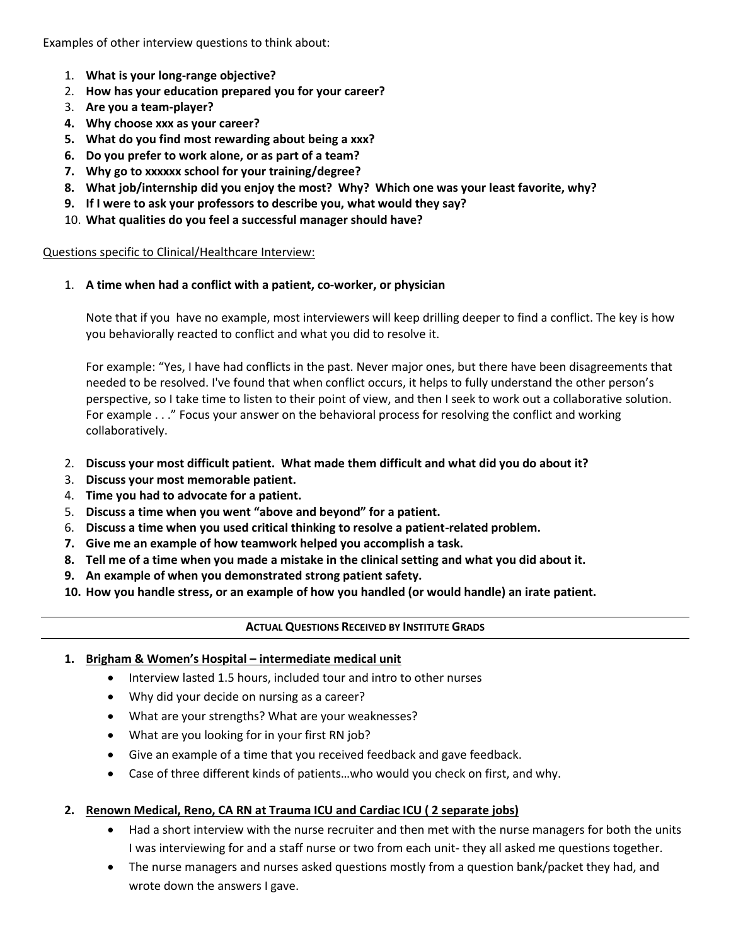Examples of other interview questions to think about:

- 1. **What is your long-range objective?**
- 2. **How has your education prepared you for your career?**
- 3. **Are you a team-player?**
- **4. Why choose xxx as your career?**
- **5. What do you find most rewarding about being a xxx?**
- **6. Do you prefer to work alone, or as part of a team?**
- **7. Why go to xxxxxx school for your training/degree?**
- **8. What job/internship did you enjoy the most? Why? Which one was your least favorite, why?**
- **9. If I were to ask your professors to describe you, what would they say?**
- 10. **What qualities do you feel a successful manager should have?**

Questions specific to Clinical/Healthcare Interview:

# 1. **A time when had a conflict with a patient, co-worker, or physician**

Note that if you have no example, most interviewers will keep drilling deeper to find a conflict. The key is how you behaviorally reacted to conflict and what you did to resolve it.

For example: "Yes, I have had conflicts in the past. Never major ones, but there have been disagreements that needed to be resolved. I've found that when conflict occurs, it helps to fully understand the other person's perspective, so I take time to listen to their point of view, and then I seek to work out a collaborative solution. For example . . ." Focus your answer on the behavioral process for resolving the conflict and working collaboratively.

- 2. **Discuss your most difficult patient. What made them difficult and what did you do about it?**
- 3. **Discuss your most memorable patient.**
- 4. **Time you had to advocate for a patient.**
- 5. **Discuss a time when you went "above and beyond" for a patient.**
- 6. **Discuss a time when you used critical thinking to resolve a patient-related problem.**
- **7. Give me an example of how teamwork helped you accomplish a task.**
- **8. Tell me of a time when you made a mistake in the clinical setting and what you did about it.**
- **9. An example of when you demonstrated strong patient safety.**
- **10. How you handle stress, or an example of how you handled (or would handle) an irate patient.**

# **ACTUAL QUESTIONS RECEIVED BY INSTITUTE GRADS**

# **1. Brigham & Women's Hospital – intermediate medical unit**

- Interview lasted 1.5 hours, included tour and intro to other nurses
- Why did your decide on nursing as a career?
- What are your strengths? What are your weaknesses?
- What are you looking for in your first RN job?
- Give an example of a time that you received feedback and gave feedback.
- Case of three different kinds of patients…who would you check on first, and why.

# **2. Renown Medical, Reno, CA RN at Trauma ICU and Cardiac ICU ( 2 separate jobs)**

- Had a short interview with the nurse recruiter and then met with the nurse managers for both the units I was interviewing for and a staff nurse or two from each unit- they all asked me questions together.
- The nurse managers and nurses asked questions mostly from a question bank/packet they had, and wrote down the answers I gave.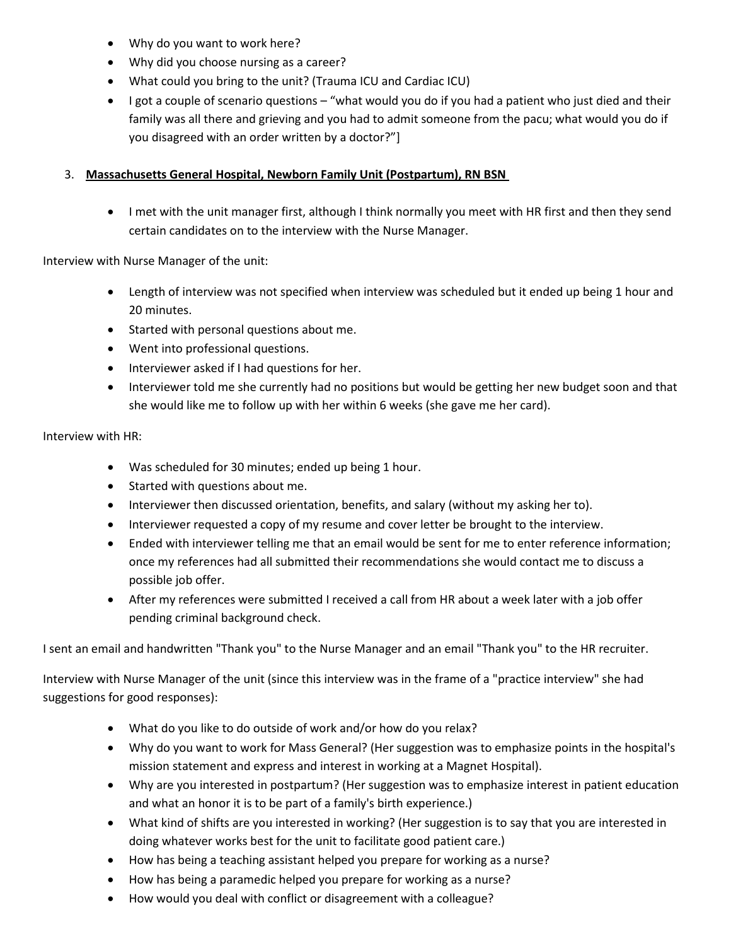- Why do you want to work here?
- Why did you choose nursing as a career?
- What could you bring to the unit? (Trauma ICU and Cardiac ICU)
- $\bullet$  I got a couple of scenario questions "what would you do if you had a patient who just died and their family was all there and grieving and you had to admit someone from the pacu; what would you do if you disagreed with an order written by a doctor?"]

# 3. **Massachusetts General Hospital, Newborn Family Unit (Postpartum), RN BSN**

 I met with the unit manager first, although I think normally you meet with HR first and then they send certain candidates on to the interview with the Nurse Manager.

Interview with Nurse Manager of the unit:

- Length of interview was not specified when interview was scheduled but it ended up being 1 hour and 20 minutes.
- Started with personal questions about me.
- Went into professional questions.
- Interviewer asked if I had questions for her.
- Interviewer told me she currently had no positions but would be getting her new budget soon and that she would like me to follow up with her within 6 weeks (she gave me her card).

Interview with HR:

- Was scheduled for 30 minutes; ended up being 1 hour.
- Started with questions about me.
- Interviewer then discussed orientation, benefits, and salary (without my asking her to).
- Interviewer requested a copy of my resume and cover letter be brought to the interview.
- Ended with interviewer telling me that an email would be sent for me to enter reference information; once my references had all submitted their recommendations she would contact me to discuss a possible job offer.
- After my references were submitted I received a call from HR about a week later with a job offer pending criminal background check.

I sent an email and handwritten "Thank you" to the Nurse Manager and an email "Thank you" to the HR recruiter.

Interview with Nurse Manager of the unit (since this interview was in the frame of a "practice interview" she had suggestions for good responses):

- What do you like to do outside of work and/or how do you relax?
- Why do you want to work for Mass General? (Her suggestion was to emphasize points in the hospital's mission statement and express and interest in working at a Magnet Hospital).
- Why are you interested in postpartum? (Her suggestion was to emphasize interest in patient education and what an honor it is to be part of a family's birth experience.)
- What kind of shifts are you interested in working? (Her suggestion is to say that you are interested in doing whatever works best for the unit to facilitate good patient care.)
- How has being a teaching assistant helped you prepare for working as a nurse?
- How has being a paramedic helped you prepare for working as a nurse?
- How would you deal with conflict or disagreement with a colleague?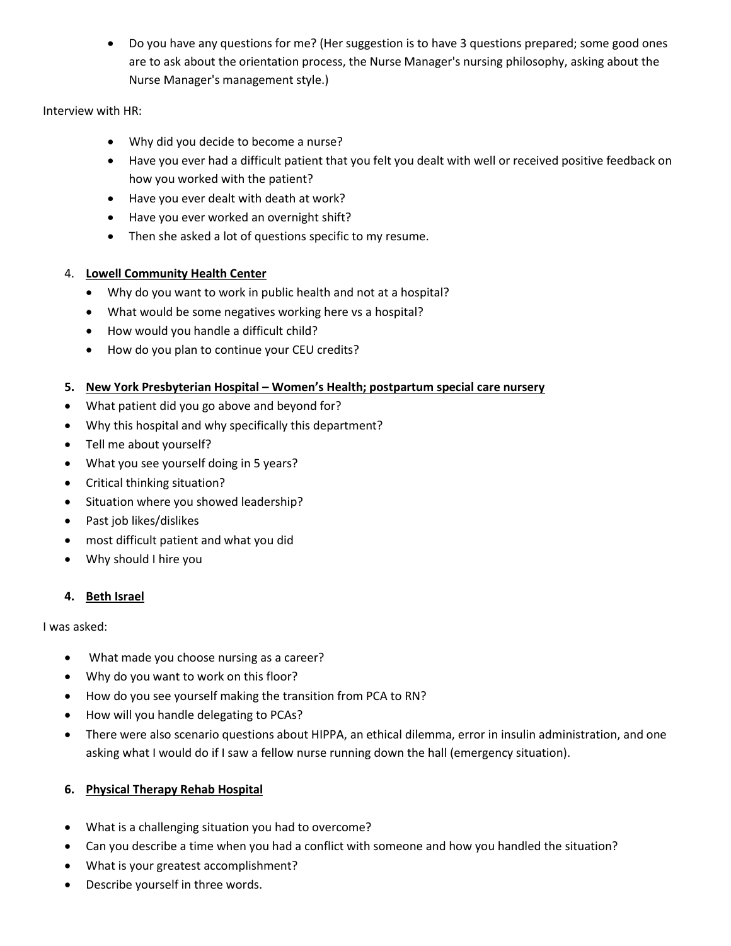Do you have any questions for me? (Her suggestion is to have 3 questions prepared; some good ones are to ask about the orientation process, the Nurse Manager's nursing philosophy, asking about the Nurse Manager's management style.)

Interview with HR:

- Why did you decide to become a nurse?
- Have you ever had a difficult patient that you felt you dealt with well or received positive feedback on how you worked with the patient?
- Have you ever dealt with death at work?
- Have you ever worked an overnight shift?
- Then she asked a lot of questions specific to my resume.

# 4. **Lowell Community Health Center**

- Why do you want to work in public health and not at a hospital?
- What would be some negatives working here vs a hospital?
- How would you handle a difficult child?
- How do you plan to continue your CEU credits?

# **5. New York Presbyterian Hospital – Women's Health; postpartum special care nursery**

- What patient did you go above and beyond for?
- Why this hospital and why specifically this department?
- Tell me about yourself?
- What you see yourself doing in 5 years?
- Critical thinking situation?
- Situation where you showed leadership?
- Past job likes/dislikes
- most difficult patient and what you did
- Why should I hire you

# **4. Beth Israel**

I was asked:

- What made you choose nursing as a career?
- Why do you want to work on this floor?
- How do you see yourself making the transition from PCA to RN?
- How will you handle delegating to PCAs?
- There were also scenario questions about HIPPA, an ethical dilemma, error in insulin administration, and one asking what I would do if I saw a fellow nurse running down the hall (emergency situation).

# **6. Physical Therapy Rehab Hospital**

- What is a challenging situation you had to overcome?
- Can you describe a time when you had a conflict with someone and how you handled the situation?
- What is your greatest accomplishment?
- Describe yourself in three words.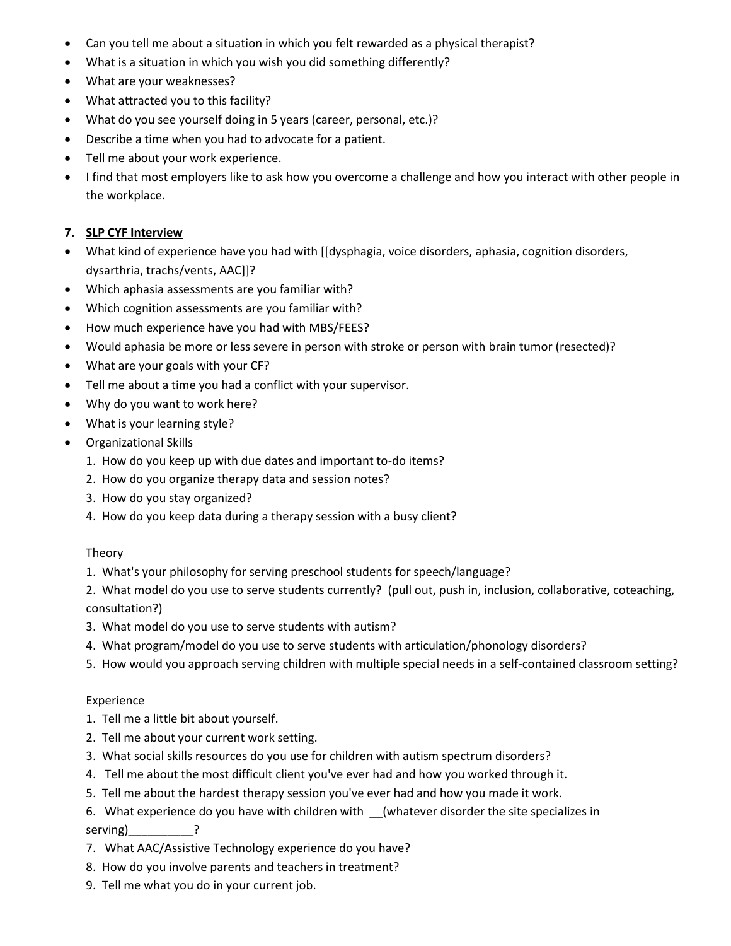- Can you tell me about a situation in which you felt rewarded as a physical therapist?
- What is a situation in which you wish you did something differently?
- What are your weaknesses?
- What attracted you to this facility?
- What do you see yourself doing in 5 years (career, personal, etc.)?
- Describe a time when you had to advocate for a patient.
- Tell me about your work experience.
- I find that most employers like to ask how you overcome a challenge and how you interact with other people in the workplace.

# **7. SLP CYF Interview**

- What kind of experience have you had with [[dysphagia, voice disorders, aphasia, cognition disorders, dysarthria, trachs/vents, AAC]]?
- Which aphasia assessments are you familiar with?
- Which cognition assessments are you familiar with?
- How much experience have you had with MBS/FEES?
- Would aphasia be more or less severe in person with stroke or person with brain tumor (resected)?
- What are your goals with your CF?
- Tell me about a time you had a conflict with your supervisor.
- Why do you want to work here?
- What is your learning style?
- Organizational Skills
	- 1. How do you keep up with due dates and important to-do items?
	- 2. How do you organize therapy data and session notes?
	- 3. How do you stay organized?
	- 4. How do you keep data during a therapy session with a busy client?

# Theory

- 1. What's your philosophy for serving preschool students for speech/language?
- 2. What model do you use to serve students currently? (pull out, push in, inclusion, collaborative, coteaching, consultation?)
- 3. What model do you use to serve students with autism?
- 4. What program/model do you use to serve students with articulation/phonology disorders?
- 5. How would you approach serving children with multiple special needs in a self-contained classroom setting?

# Experience

- 1. Tell me a little bit about yourself.
- 2. Tell me about your current work setting.
- 3. What social skills resources do you use for children with autism spectrum disorders?
- 4. Tell me about the most difficult client you've ever had and how you worked through it.
- 5. Tell me about the hardest therapy session you've ever had and how you made it work.
- 6. What experience do you have with children with \_\_(whatever disorder the site specializes in serving)\_\_\_\_\_\_\_\_\_\_\_\_\_\_?
- 7. What AAC/Assistive Technology experience do you have?
- 8. How do you involve parents and teachers in treatment?
- 9. Tell me what you do in your current job.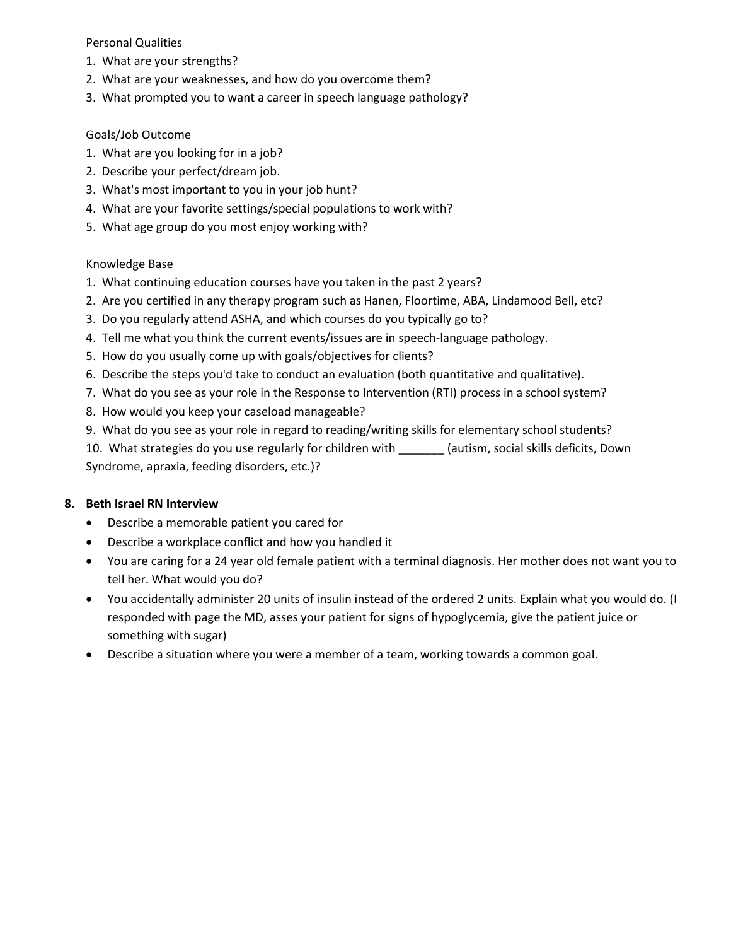Personal Qualities

- 1. What are your strengths?
- 2. What are your weaknesses, and how do you overcome them?
- 3. What prompted you to want a career in speech language pathology?

#### Goals/Job Outcome

- 1. What are you looking for in a job?
- 2. Describe your perfect/dream job.
- 3. What's most important to you in your job hunt?
- 4. What are your favorite settings/special populations to work with?
- 5. What age group do you most enjoy working with?

#### Knowledge Base

- 1. What continuing education courses have you taken in the past 2 years?
- 2. Are you certified in any therapy program such as Hanen, Floortime, ABA, Lindamood Bell, etc?
- 3. Do you regularly attend ASHA, and which courses do you typically go to?
- 4. Tell me what you think the current events/issues are in speech-language pathology.
- 5. How do you usually come up with goals/objectives for clients?
- 6. Describe the steps you'd take to conduct an evaluation (both quantitative and qualitative).
- 7. What do you see as your role in the Response to Intervention (RTI) process in a school system?
- 8. How would you keep your caseload manageable?
- 9. What do you see as your role in regard to reading/writing skills for elementary school students?

10. What strategies do you use regularly for children with \_\_\_\_\_\_\_ (autism, social skills deficits, Down Syndrome, apraxia, feeding disorders, etc.)?

# **8. Beth Israel RN Interview**

- Describe a memorable patient you cared for
- Describe a workplace conflict and how you handled it
- You are caring for a 24 year old female patient with a terminal diagnosis. Her mother does not want you to tell her. What would you do?
- You accidentally administer 20 units of insulin instead of the ordered 2 units. Explain what you would do. (I responded with page the MD, asses your patient for signs of hypoglycemia, give the patient juice or something with sugar)
- Describe a situation where you were a member of a team, working towards a common goal.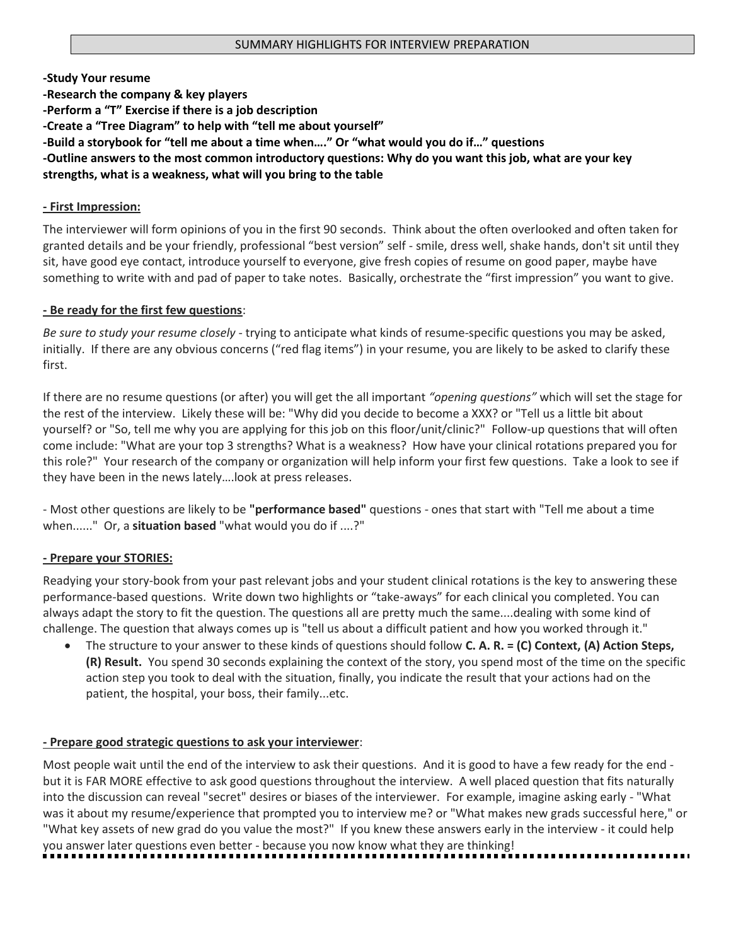#### **-Study Your resume**

**-Research the company & key players -Perform a "T" Exercise if there is a job description -Create a "Tree Diagram" to help with "tell me about yourself" -Build a storybook for "tell me about a time when…." Or "what would you do if…" questions -Outline answers to the most common introductory questions: Why do you want this job, what are your key strengths, what is a weakness, what will you bring to the table**

#### **- First Impression:**

The interviewer will form opinions of you in the first 90 seconds. Think about the often overlooked and often taken for granted details and be your friendly, professional "best version" self - smile, dress well, shake hands, don't sit until they sit, have good eye contact, introduce yourself to everyone, give fresh copies of resume on good paper, maybe have something to write with and pad of paper to take notes. Basically, orchestrate the "first impression" you want to give.

#### **- Be ready for the first few questions**:

*Be sure to study your resume closely* - trying to anticipate what kinds of resume-specific questions you may be asked, initially. If there are any obvious concerns ("red flag items") in your resume, you are likely to be asked to clarify these first.

If there are no resume questions (or after) you will get the all important *"opening questions"* which will set the stage for the rest of the interview. Likely these will be: "Why did you decide to become a XXX? or "Tell us a little bit about yourself? or "So, tell me why you are applying for this job on this floor/unit/clinic?" Follow-up questions that will often come include: "What are your top 3 strengths? What is a weakness? How have your clinical rotations prepared you for this role?" Your research of the company or organization will help inform your first few questions. Take a look to see if they have been in the news lately….look at press releases.

- Most other questions are likely to be **"performance based"** questions - ones that start with "Tell me about a time when......" Or, a **situation based** "what would you do if ....?"

# **- Prepare your STORIES:**

Readying your story-book from your past relevant jobs and your student clinical rotations is the key to answering these performance-based questions. Write down two highlights or "take-aways" for each clinical you completed. You can always adapt the story to fit the question. The questions all are pretty much the same....dealing with some kind of challenge. The question that always comes up is "tell us about a difficult patient and how you worked through it."

 The structure to your answer to these kinds of questions should follow **C. A. R. = (C) Context, (A) Action Steps, (R) Result.** You spend 30 seconds explaining the context of the story, you spend most of the time on the specific action step you took to deal with the situation, finally, you indicate the result that your actions had on the patient, the hospital, your boss, their family...etc.

# **- Prepare good strategic questions to ask your interviewer**:

Most people wait until the end of the interview to ask their questions. And it is good to have a few ready for the end but it is FAR MORE effective to ask good questions throughout the interview. A well placed question that fits naturally into the discussion can reveal "secret" desires or biases of the interviewer. For example, imagine asking early - "What was it about my resume/experience that prompted you to interview me? or "What makes new grads successful here," or "What key assets of new grad do you value the most?" If you knew these answers early in the interview - it could help you answer later questions even better - because you now know what they are thinking!